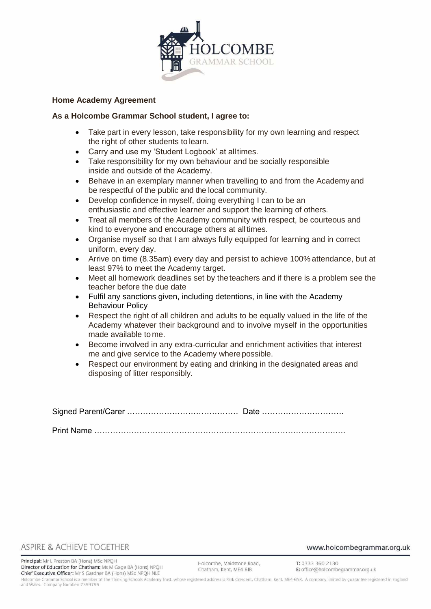

### **Home Academy Agreement**

#### **As a Holcombe Grammar School student, I agree to:**

- Take part in every lesson, take responsibility for my own learning and respect the right of other students to learn.
- Carry and use my 'Student Logbook' at alltimes.
- Take responsibility for my own behaviour and be socially responsible inside and outside of the Academy.
- Behave in an exemplary manner when travelling to and from the Academyand be respectful of the public and the local community.
- Develop confidence in myself, doing everything I can to be an enthusiastic and effective learner and support the learning of others.
- Treat all members of the Academy community with respect, be courteous and kind to everyone and encourage others at alltimes.
- Organise myself so that I am always fully equipped for learning and in correct uniform, every day.
- Arrive on time (8.35am) every day and persist to achieve 100% attendance, but at least 97% to meet the Academy target.
- Meet all homework deadlines set by theteachers and if there is a problem see the teacher before the due date
- Fulfil any sanctions given, including detentions, in line with the Academy Behaviour Policy
- Respect the right of all children and adults to be equally valued in the life of the Academy whatever their background and to involve myself in the opportunities made available tome.
- Become involved in any extra-curricular and enrichment activities that interest me and give service to the Academy where possible.
- Respect our environment by eating and drinking in the designated areas and disposing of litter responsibly.

Signed Parent/Carer …………………………………… Date …………………………. Print Name ……………………………………………………………………………….….

## ASPIRE & ACHIEVE TOGETHER

Principal: Mr L Preston BA (Hons) MSc NPOH Director of Education for Chatham: Ms M Gage BA (Hons) NPQH Chief Executive Officer: Mr S Gardner BA (Hons) MSc NPQH NLE

www.holcombegrammar.org.uk

T: 0333 360 2130 E: office@holcombegrammar.org.uk

Holcombe Grammar School is a member of The Thinking Schools Academy Trust, whose registered address is Park Crescent, Chatham, Kent, ME4 6NR. A company limited by guarantee registered in England and Wales. Company Number: 7359755